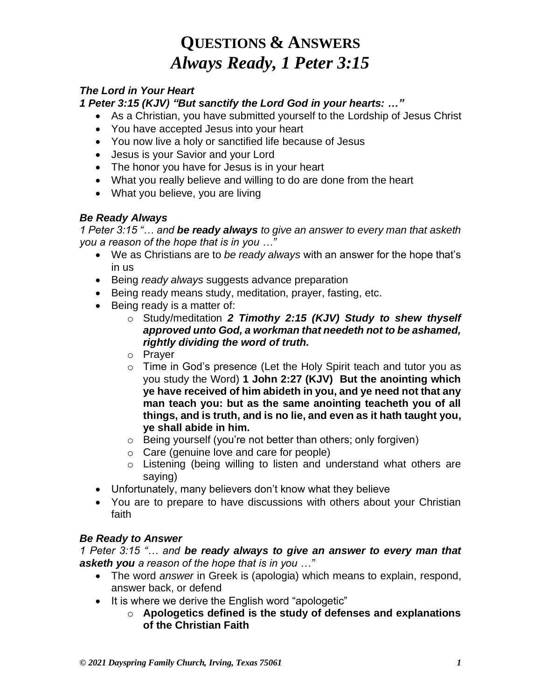# **QUESTIONS & ANSWERS** *Always Ready, 1 Peter 3:15*

### *The Lord in Your Heart*

*1 Peter 3:15 (KJV) "But sanctify the Lord God in your hearts: …"*

- As a Christian, you have submitted yourself to the Lordship of Jesus Christ
- You have accepted Jesus into your heart
- You now live a holy or sanctified life because of Jesus
- Jesus is your Savior and your Lord
- The honor you have for Jesus is in your heart
- What you really believe and willing to do are done from the heart
- What you believe, you are living

### *Be Ready Always*

*1 Peter 3:15 "… and be ready always to give an answer to every man that asketh you a reason of the hope that is in you …"*

- We as Christians are to *be ready always* with an answer for the hope that's in us
- Being *ready always* suggests advance preparation
- Being ready means study, meditation, prayer, fasting, etc.
- Being ready is a matter of:
	- o Study/meditation *2 Timothy 2:15 (KJV) Study to shew thyself approved unto God, a workman that needeth not to be ashamed, rightly dividing the word of truth.*
	- o Prayer
	- o Time in God's presence (Let the Holy Spirit teach and tutor you as you study the Word) **1 John 2:27 (KJV) But the anointing which ye have received of him abideth in you, and ye need not that any man teach you: but as the same anointing teacheth you of all things, and is truth, and is no lie, and even as it hath taught you, ye shall abide in him.**
	- o Being yourself (you're not better than others; only forgiven)
	- o Care (genuine love and care for people)
	- o Listening (being willing to listen and understand what others are saying)
- Unfortunately, many believers don't know what they believe
- You are to prepare to have discussions with others about your Christian faith

### *Be Ready to Answer*

*1 Peter 3:15 "… and be ready always to give an answer to every man that asketh you a reason of the hope that is in you …"*

- The word *answer* in Greek is (apologia) which means to explain, respond, answer back, or defend
- It is where we derive the English word "apologetic"
	- o **Apologetics defined is the study of defenses and explanations of the Christian Faith**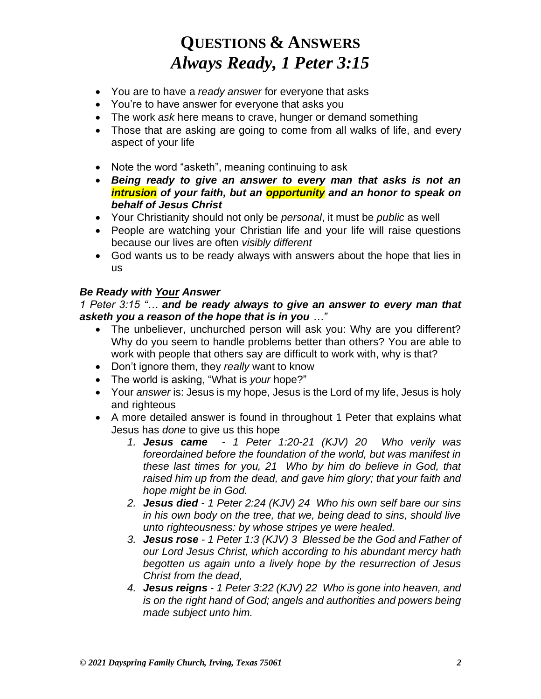# **QUESTIONS & ANSWERS** *Always Ready, 1 Peter 3:15*

- You are to have a *ready answer* for everyone that asks
- You're to have answer for everyone that asks you
- The work *ask* here means to crave, hunger or demand something
- Those that are asking are going to come from all walks of life, and every aspect of your life
- Note the word "asketh", meaning continuing to ask
- *Being ready to give an answer to every man that asks is not an intrusion of your faith, but an opportunity and an honor to speak on behalf of Jesus Christ*
- Your Christianity should not only be *personal*, it must be *public* as well
- People are watching your Christian life and your life will raise questions because our lives are often *visibly different*
- God wants us to be ready always with answers about the hope that lies in us

#### *Be Ready with Your Answer*

*1 Peter 3:15 "… and be ready always to give an answer to every man that asketh you a reason of the hope that is in you …"*

- The unbeliever, unchurched person will ask you: Why are you different? Why do you seem to handle problems better than others? You are able to work with people that others say are difficult to work with, why is that?
- Don't ignore them, they *really* want to know
- The world is asking, "What is *your* hope?"
- Your *answer* is: Jesus is my hope, Jesus is the Lord of my life, Jesus is holy and righteous
- A more detailed answer is found in throughout 1 Peter that explains what Jesus has *done* to give us this hope
	- *1. Jesus came 1 Peter 1:20-21 (KJV) 20 Who verily was foreordained before the foundation of the world, but was manifest in these last times for you, 21 Who by him do believe in God, that raised him up from the dead, and gave him glory; that your faith and hope might be in God.*
	- *2. Jesus died 1 Peter 2:24 (KJV) 24 Who his own self bare our sins in his own body on the tree, that we, being dead to sins, should live unto righteousness: by whose stripes ye were healed.*
	- *3. Jesus rose 1 Peter 1:3 (KJV) 3 Blessed be the God and Father of our Lord Jesus Christ, which according to his abundant mercy hath begotten us again unto a lively hope by the resurrection of Jesus Christ from the dead,*
	- *4. Jesus reigns 1 Peter 3:22 (KJV) 22 Who is gone into heaven, and is on the right hand of God; angels and authorities and powers being made subject unto him.*